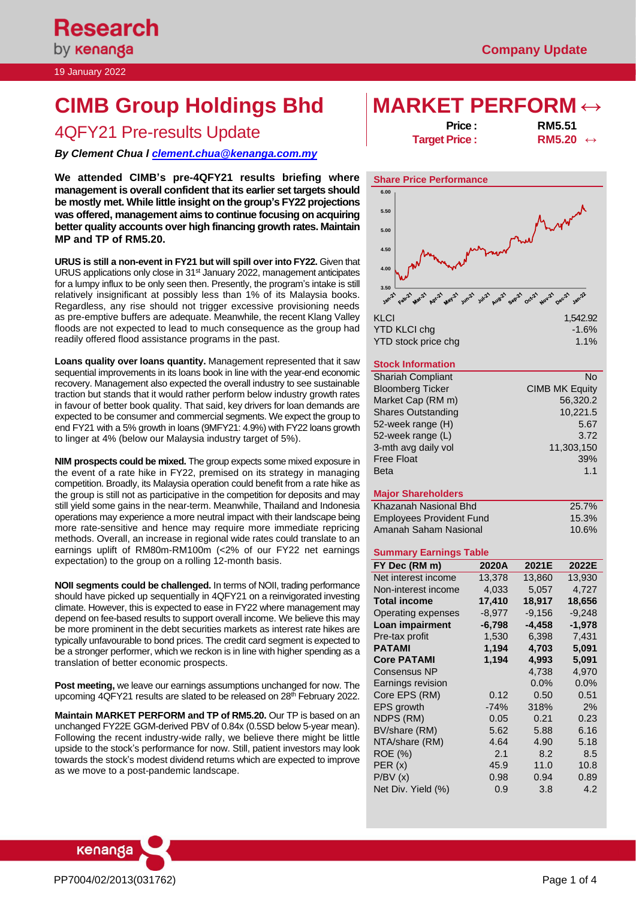19 January 2022

# **CIMB Group Holdings Bhd MARKET PERFORM ↔**

# and the price intervalue of the Price intervals Pre-results Update and the Price intervalse of the Price interv<br>**Price intervalse intervalse intervalse intervalse intervalse intervalse intervalse intervalse intervalse int**

*By Clement Chua [l clement.chua@kenanga.co](mailto:clement.chua@kenanga.com.my)m.my*

**We attended CIMB's pre-4QFY21 results briefing where management is overall confident that its earlier set targets should be mostly met. While little insight on the group's FY22 projections was offered, management aims to continue focusing on acquiring better quality accounts over high financing growth rates. Maintain MP and TP of RM5.20.**

**URUS is still a non-event in FY21 but will spill over into FY22.** Given that URUS applications only close in 31<sup>st</sup> January 2022, management anticipates for a lumpy influx to be only seen then. Presently, the program's intake is still relatively insignificant at possibly less than 1% of its Malaysia books. Regardless, any rise should not trigger excessive provisioning needs as pre-emptive buffers are adequate. Meanwhile, the recent Klang Valley floods are not expected to lead to much consequence as the group had readily offered flood assistance programs in the past.

**Loans quality over loans quantity.** Management represented that it saw sequential improvements in its loans book in line with the year-end economic recovery. Management also expected the overall industry to see sustainable traction but stands that it would rather perform below industry growth rates in favour of better book quality. That said, key drivers for loan demands are expected to be consumer and commercial segments. We expect the group to end FY21 with a 5% growth in loans (9MFY21: 4.9%) with FY22 loans growth to linger at 4% (below our Malaysia industry target of 5%).

**NIM prospects could be mixed.** The group expects some mixed exposure in the event of a rate hike in FY22, premised on its strategy in managing competition. Broadly, its Malaysia operation could benefit from a rate hike as the group is still not as participative in the competition for deposits and may still yield some gains in the near-term. Meanwhile, Thailand and Indonesia operations may experience a more neutral impact with their landscape being more rate-sensitive and hence may require more immediate repricing methods. Overall, an increase in regional wide rates could translate to an earnings uplift of RM80m-RM100m (<2% of our FY22 net earnings expectation) to the group on a rolling 12-month basis.

**NOII segments could be challenged.** In terms of NOII, trading performance should have picked up sequentially in 4QFY21 on a reinvigorated investing climate. However, this is expected to ease in FY22 where management may depend on fee-based results to support overall income. We believe this may be more prominent in the debt securities markets as interest rate hikes are typically unfavourable to bond prices. The credit card segment is expected to be a stronger performer, which we reckon is in line with higher spending as a translation of better economic prospects.

**Post meeting,** we leave our earnings assumptions unchanged for now. The upcoming 4QFY21 results are slated to be released on 28<sup>th</sup> February 2022.

**Maintain MARKET PERFORM and TP of RM5.20.** Our TP is based on an unchanged FY22E GGM-derived PBV of 0.84x (0.5SD below 5-year mean). Following the recent industry-wide rally, we believe there might be little upside to the stock's performance for now. Still, patient investors may look towards the stock's modest dividend returns which are expected to improve as we move to a post-pandemic landscape.

**Target Price :** 



# YTD stock price chg 1.1%

## **Stock Information**

| <b>Shariah Compliant</b>  | No                    |
|---------------------------|-----------------------|
| <b>Bloomberg Ticker</b>   | <b>CIMB MK Equity</b> |
| Market Cap (RM m)         | 56,320.2              |
| <b>Shares Outstanding</b> | 10,221.5              |
| 52-week range (H)         | 5.67                  |
| 52-week range (L)         | 3.72                  |
| 3-mth avg daily vol       | 11,303,150            |
| <b>Free Float</b>         | 39%                   |
| <b>Beta</b>               | 1.1                   |
|                           |                       |

## **Major Shareholders**

| Khazanah Nasional Bhd           | 25.7%    |
|---------------------------------|----------|
| <b>Employees Provident Fund</b> | 15.3%    |
| Amanah Saham Nasional           | $10.6\%$ |

### **Summary Earnings Table**

| FY Dec (RM m)       | 2020A    | 2021E    | 2022E    |
|---------------------|----------|----------|----------|
| Net interest income | 13,378   | 13,860   | 13,930   |
| Non-interest income | 4,033    | 5,057    | 4,727    |
| <b>Total income</b> | 17,410   | 18,917   | 18,656   |
| Operating expenses  | $-8,977$ | $-9,156$ | $-9,248$ |
| Loan impairment     | $-6,798$ | -4,458   | -1,978   |
| Pre-tax profit      | 1,530    | 6,398    | 7,431    |
| <b>PATAMI</b>       | 1,194    | 4,703    | 5,091    |
| <b>Core PATAMI</b>  | 1,194    | 4,993    | 5,091    |
| Consensus NP        |          | 4,738    | 4,970    |
| Earnings revision   |          | 0.0%     | 0.0%     |
| Core EPS (RM)       | 0.12     | 0.50     | 0.51     |
| EPS growth          | $-74%$   | 318%     | 2%       |
| NDPS (RM)           | 0.05     | 0.21     | 0.23     |
| BV/share (RM)       | 5.62     | 5.88     | 6.16     |
| NTA/share (RM)      | 4.64     | 4.90     | 5.18     |
| ROE (%)             | 2.1      | 8.2      | 8.5      |
| PER(x)              | 45.9     | 11.0     | 10.8     |
| P/BV(x)             | 0.98     | 0.94     | 0.89     |
| Net Div. Yield (%)  | 0.9      | 3.8      | 4.2      |

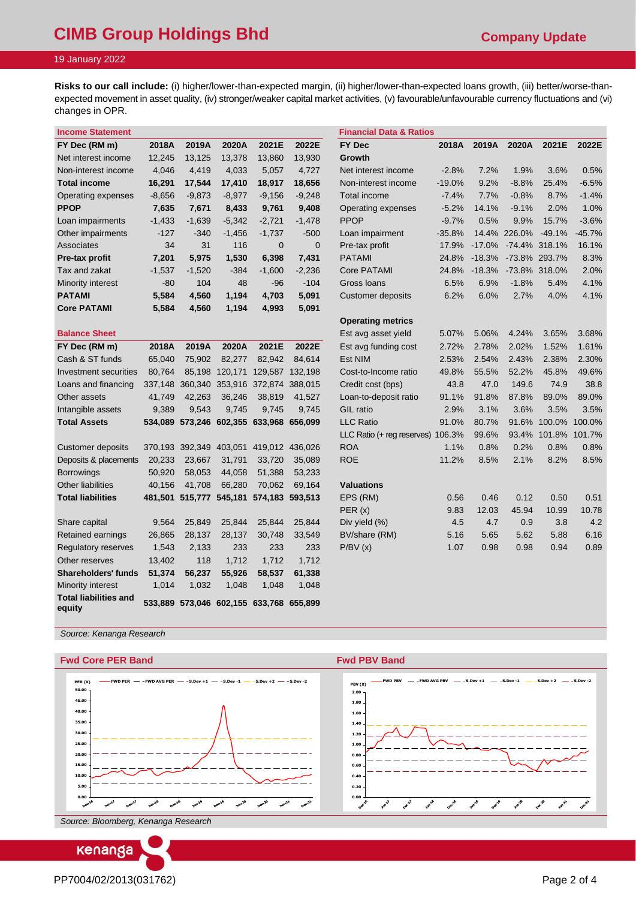# **CIMB Group Holdings Bhd CIMB Group Holdings Bhd Company Update**

# 19 January 2022

**Risks to our call include:** (i) higher/lower-than-expected margin, (ii) higher/lower-than-expected loans growth, (iii) better/worse-thanexpected movement in asset quality, (iv) stronger/weaker capital market activities, (v) favourable/unfavourable currency fluctuations and (vi) changes in OPR.

| <b>Income Statement</b>                |          |                         |          |                                         |                 | <b>Financial Data &amp; Ratios</b> |          |          |         |                     |          |
|----------------------------------------|----------|-------------------------|----------|-----------------------------------------|-----------------|------------------------------------|----------|----------|---------|---------------------|----------|
| FY Dec (RM m)                          | 2018A    | 2019A                   | 2020A    | 2021E                                   | 2022E           | <b>FY Dec</b>                      | 2018A    | 2019A    | 2020A   | 2021E               | 2022E    |
| Net interest income                    | 12,245   | 13,125                  | 13,378   | 13,860                                  | 13,930          | Growth                             |          |          |         |                     |          |
| Non-interest income                    | 4,046    | 4,419                   | 4,033    | 5,057                                   | 4,727           | Net interest income                | $-2.8%$  | 7.2%     | 1.9%    | 3.6%                | 0.5%     |
| <b>Total income</b>                    | 16,291   | 17,544                  | 17,410   | 18,917                                  | 18,656          | Non-interest income                | $-19.0%$ | 9.2%     | $-8.8%$ | 25.4%               | $-6.5%$  |
| Operating expenses                     | $-8,656$ | $-9,873$                | $-8,977$ | $-9,156$                                | $-9,248$        | Total income                       | $-7.4%$  | 7.7%     | $-0.8%$ | 8.7%                | $-1.4%$  |
| <b>PPOP</b>                            | 7,635    | 7,671                   | 8,433    | 9,761                                   | 9,408           | Operating expenses                 | $-5.2%$  | 14.1%    | $-9.1%$ | 2.0%                | 1.0%     |
| Loan impairments                       | $-1,433$ | $-1,639$                | $-5,342$ | $-2,721$                                | $-1,478$        | <b>PPOP</b>                        | $-9.7%$  | 0.5%     | 9.9%    | 15.7%               | $-3.6%$  |
| Other impairments                      | $-127$   | $-340$                  | $-1,456$ | $-1,737$                                | $-500$          | Loan impairment                    | $-35.8%$ | 14.4%    | 226.0%  | $-49.1%$            | $-45.7%$ |
| Associates                             | 34       | 31                      | 116      | $\mathbf 0$                             | $\overline{0}$  | Pre-tax profit                     | 17.9%    | $-17.0%$ |         | -74.4% 318.1%       | 16.1%    |
| Pre-tax profit                         | 7,201    | 5,975                   | 1,530    | 6,398                                   | 7,431           | <b>PATAMI</b>                      | 24.8%    | $-18.3%$ |         | -73.8% 293.7%       | 8.3%     |
| Tax and zakat                          | $-1,537$ | $-1,520$                | $-384$   | $-1,600$                                | $-2,236$        | Core PATAMI                        | 24.8%    | $-18.3%$ |         | -73.8% 318.0%       | 2.0%     |
| Minority interest                      | $-80$    | 104                     | 48       | -96                                     | $-104$          | Gross Ioans                        | 6.5%     | 6.9%     | $-1.8%$ | 5.4%                | 4.1%     |
| <b>PATAMI</b>                          | 5,584    | 4,560                   | 1,194    | 4,703                                   | 5,091           | Customer deposits                  | 6.2%     | 6.0%     | 2.7%    | 4.0%                | 4.1%     |
| <b>Core PATAMI</b>                     | 5,584    | 4,560                   | 1,194    | 4,993                                   | 5,091           |                                    |          |          |         |                     |          |
|                                        |          |                         |          |                                         |                 | <b>Operating metrics</b>           |          |          |         |                     |          |
| <b>Balance Sheet</b>                   |          |                         |          |                                         |                 | Est avg asset yield                | 5.07%    | 5.06%    | 4.24%   | 3.65%               | 3.68%    |
| FY Dec (RM m)                          | 2018A    | 2019A                   | 2020A    | 2021E                                   | 2022E           | Est avg funding cost               | 2.72%    | 2.78%    | 2.02%   | 1.52%               | 1.61%    |
| Cash & ST funds                        | 65,040   | 75,902                  | 82,277   | 82,942                                  | 84,614          | Est NIM                            | 2.53%    | 2.54%    | 2.43%   | 2.38%               | 2.30%    |
| Investment securities                  | 80,764   | 85,198                  | 120,171  |                                         | 129,587 132,198 | Cost-to-Income ratio               | 49.8%    | 55.5%    | 52.2%   | 45.8%               | 49.6%    |
| Loans and financing                    | 337,148  | 360,340 353,916         |          | 372,874 388,015                         |                 | Credit cost (bps)                  | 43.8     | 47.0     | 149.6   | 74.9                | 38.8     |
| Other assets                           | 41,749   | 42,263                  | 36,246   | 38,819                                  | 41,527          | Loan-to-deposit ratio              | 91.1%    | 91.8%    | 87.8%   | 89.0%               | 89.0%    |
| Intangible assets                      | 9,389    | 9,543                   | 9,745    | 9,745                                   | 9,745           | GIL ratio                          | 2.9%     | 3.1%     | 3.6%    | 3.5%                | 3.5%     |
| <b>Total Assets</b>                    |          |                         |          | 534,089 573,246 602,355 633,968 656,099 |                 | <b>LLC Ratio</b>                   | 91.0%    | 80.7%    |         | 91.6% 100.0%        | 100.0%   |
|                                        |          |                         |          |                                         |                 | LLC Ratio (+ reg reserves)         | 106.3%   | 99.6%    |         | 93.4% 101.8% 101.7% |          |
| Customer deposits                      |          | 370,193 392,349         | 403,051  | 419,012 436,026                         |                 | <b>ROA</b>                         | 1.1%     | 0.8%     | 0.2%    | 0.8%                | 0.8%     |
| Deposits & placements                  | 20,233   | 23,667                  | 31,791   | 33,720                                  | 35,089          | <b>ROE</b>                         | 11.2%    | 8.5%     | 2.1%    | 8.2%                | 8.5%     |
| <b>Borrowings</b>                      | 50,920   | 58,053                  | 44,058   | 51,388                                  | 53,233          |                                    |          |          |         |                     |          |
| <b>Other liabilities</b>               | 40,156   | 41,708                  | 66,280   | 70,062                                  | 69,164          | <b>Valuations</b>                  |          |          |         |                     |          |
| <b>Total liabilities</b>               |          | 481,501 515,777 545,181 |          | 574,183 593,513                         |                 | EPS (RM)                           | 0.56     | 0.46     | 0.12    | 0.50                | 0.51     |
|                                        |          |                         |          |                                         |                 | PER(x)                             | 9.83     | 12.03    | 45.94   | 10.99               | 10.78    |
| Share capital                          | 9,564    | 25,849                  | 25,844   | 25,844                                  | 25,844          | Div yield (%)                      | 4.5      | 4.7      | 0.9     | 3.8                 | 4.2      |
| Retained earnings                      | 26,865   | 28,137                  | 28,137   | 30,748                                  | 33,549          | BV/share (RM)                      | 5.16     | 5.65     | 5.62    | 5.88                | 6.16     |
| Regulatory reserves                    | 1,543    | 2,133                   | 233      | 233                                     | 233             | P/BV(x)                            | 1.07     | 0.98     | 0.98    | 0.94                | 0.89     |
| Other reserves                         | 13,402   | 118                     | 1,712    | 1,712                                   | 1,712           |                                    |          |          |         |                     |          |
| <b>Shareholders' funds</b>             | 51,374   | 56,237                  | 55,926   | 58,537                                  | 61,338          |                                    |          |          |         |                     |          |
| Minority interest                      | 1,014    | 1,032                   | 1,048    | 1,048                                   | 1,048           |                                    |          |          |         |                     |          |
| <b>Total liabilities and</b><br>equity |          |                         |          | 533,889 573,046 602,155 633,768 655,899 |                 |                                    |          |          |         |                     |          |

*Source: Kenanga Research*

## **Fwd Core PER Band Fwd PBV Band**



*Source: Bloomberg, Kenanga Research*

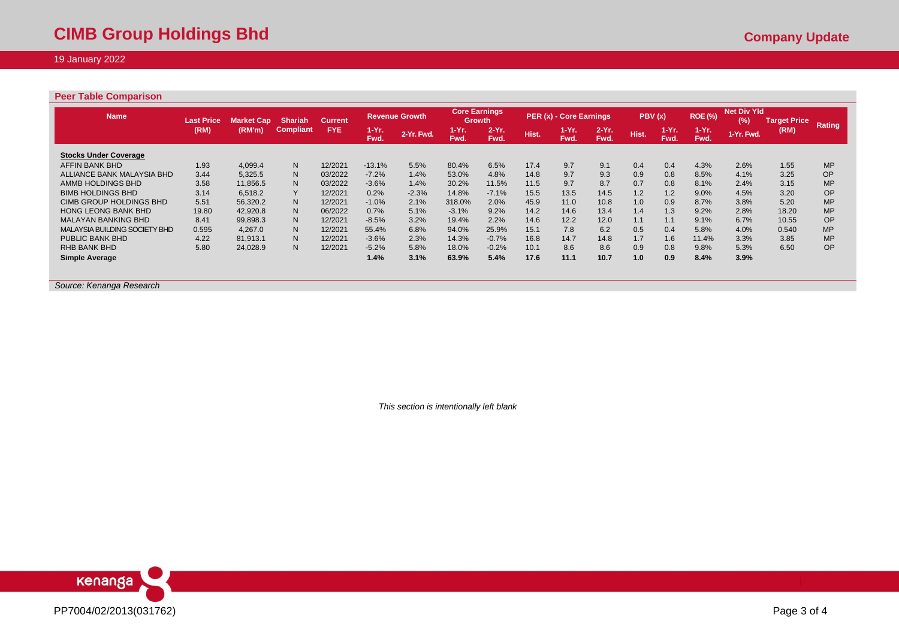## 19 January 2022

#### **Peer Table Comparison**

| <b>Name</b>                   | <b>Last Price</b> | Market Cap | <b>Shariah</b>   | <b>Current</b> |               | <b>Revenue Growth</b> | <b>Core Earnings</b><br>Growth |                 |       | PER (x) - Core Earnings |                  | PBV(x) |                     | <b>ROE (%)</b>  | <b>Net Div Yld</b><br>(%) | <b>Target Price</b> |           |
|-------------------------------|-------------------|------------|------------------|----------------|---------------|-----------------------|--------------------------------|-----------------|-------|-------------------------|------------------|--------|---------------------|-----------------|---------------------------|---------------------|-----------|
|                               | (RM)              | (RM'm)     | <b>Compliant</b> | <b>FYE</b>     | 1-Yr.<br>Fwd. | 2-Yr. Fwd.            | $1-Yr$ .<br>Fwd.               | $2-Yr.$<br>Fwd. | Hist. | $1-Yr.$<br>Fwd.         | $2-Yr$ .<br>Fwd. | Hist.  | <b>TEYR</b><br>Fwd. | $1-Yr.$<br>Fwd. | 1-Yr. Fwd.                | (RM)                | Rating    |
| <b>Stocks Under Coverage</b>  |                   |            |                  |                |               |                       |                                |                 |       |                         |                  |        |                     |                 |                           |                     |           |
| AFFIN BANK BHD                | 1.93              | 4.099.4    | N <sub>1</sub>   | 12/2021        | $-13.1%$      | 5.5%                  | 80.4%                          | 6.5%            | 17.4  | 9.7                     | 9.1              | 0.4    | 0.4                 | 4.3%            | 2.6%                      | 1.55                | <b>MP</b> |
| ALLIANCE BANK MALAYSIA BHD    | 3.44              | 5.325.5    | N <sub>1</sub>   | 03/2022        | $-7.2%$       | 1.4%                  | 53.0%                          | 4.8%            | 14.8  | 9.7                     | 9.3              | 0.9    | 0.8                 | 8.5%            | 4.1%                      | 3.25                | <b>OP</b> |
| AMMB HOLDINGS BHD             | 3.58              | 11.856.5   | N <sub>1</sub>   | 03/2022        | $-3.6%$       | 1.4%                  | 30.2%                          | 11.5%           | 11.5  | 9.7                     | 8.7              | 0.7    | 0.8                 | 8.1%            | 2.4%                      | 3.15                | <b>MP</b> |
| <b>BIMB HOLDINGS BHD</b>      | 3.14              | 6.518.2    | Y                | 12/2021        | 0.2%          | $-2.3%$               | 14.8%                          | $-7.1%$         | 15.5  | 13.5                    | 14.5             | 1.2    | 1.2                 | 9.0%            | 4.5%                      | 3.20                | OP        |
| CIMB GROUP HOLDINGS BHD       | 5.51              | 56.320.2   | N <sub>1</sub>   | 12/2021        | $-1.0%$       | 2.1%                  | 318.0%                         | 2.0%            | 45.9  | 11.0                    | 10.8             | 1.0    | 0.9                 | 8.7%            | 3.8%                      | 5.20                | <b>MP</b> |
| <b>HONG LEONG BANK BHD</b>    | 19.80             | 42.920.8   | N <sub>1</sub>   | 06/2022        | 0.7%          | 5.1%                  | $-3.1%$                        | 9.2%            | 14.2  | 14.6                    | 13.4             | 1.4    | 1.3                 | 9.2%            | 2.8%                      | 18.20               | <b>MP</b> |
| <b>MALAYAN BANKING BHD</b>    | 8.41              | 99,898.3   | N <sub>1</sub>   | 12/2021        | $-8.5%$       | 3.2%                  | 19.4%                          | 2.2%            | 14.6  | 12.2                    | 12.0             | 1.1    | 1.1                 | 9.1%            | 6.7%                      | 10.55               | <b>OP</b> |
| MALAYSIA BUILDING SOCIETY BHD | 0.595             | 4.267.0    | N.               | 12/2021        | 55.4%         | 6.8%                  | 94.0%                          | 25.9%           | 15.1  | 7.8                     | 6.2              | 0.5    | 0.4                 | 5.8%            | 4.0%                      | 0.540               | <b>MP</b> |
| PUBLIC BANK BHD               | 4.22              | 81.913.1   | N.               | 12/2021        | $-3.6%$       | 2.3%                  | 14.3%                          | $-0.7%$         | 16.8  | 14.7                    | 14.8             | 1.7    | 1.6                 | 11.4%           | 3.3%                      | 3.85                | <b>MP</b> |
| <b>RHB BANK BHD</b>           | 5.80              | 24,028.9   | N.               | 12/2021        | $-5.2%$       | 5.8%                  | 18.0%                          | $-0.2%$         | 10.1  | 8.6                     | 8.6              | 0.9    | 0.8                 | 9.8%            | 5.3%                      | 6.50                | OP        |
| <b>Simple Average</b>         |                   |            |                  |                | 1.4%          | 3.1%                  | 63.9%                          | 5.4%            | 17.6  | 11.1                    | 10.7             | 1.0    | 0.9                 | 8.4%            | 3.9%                      |                     |           |

*Source: Kenanga Research* 

*This section is intentionally left blank*